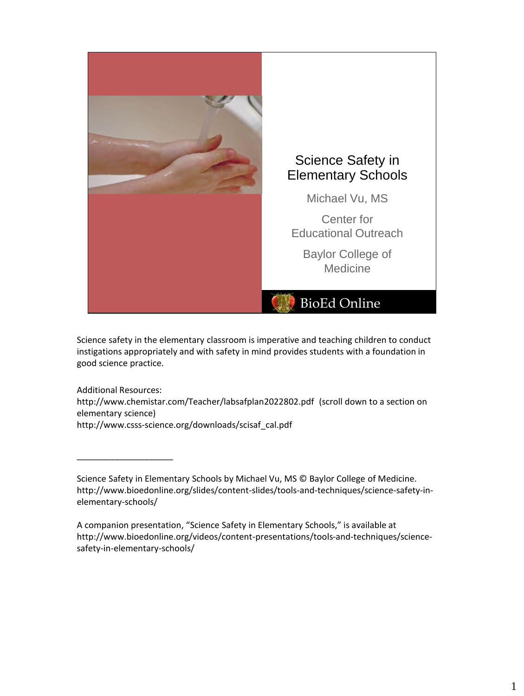

Science safety in the elementary classroom is imperative and teaching children to conduct instigations appropriately and with safety in mind provides students with a foundation in good science practice.

Additional Resources: http://www.chemistar.com/Teacher/labsafplan2022802.pdf (scroll down to a section on elementary science) http://www.csss-science.org/downloads/scisaf\_cal.pdf

Science Safety in Elementary Schools by Michael Vu, MS © Baylor College of Medicine. http://www.bioedonline.org/slides/content-slides/tools-and-techniques/science-safety-inelementary-schools/

A companion presentation, "Science Safety in Elementary Schools," is available at http://www.bioedonline.org/videos/content-presentations/tools-and-techniques/sciencesafety-in-elementary-schools/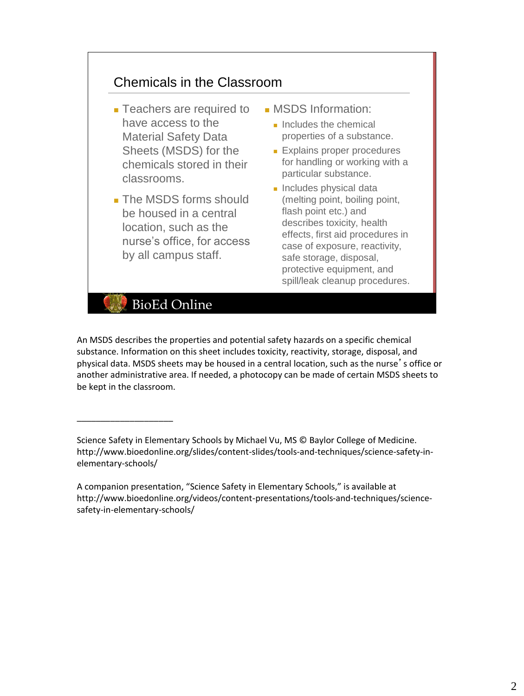### Chemicals in the Classroom

- Teachers are required to have access to the Material Safety Data Sheets (MSDS) for the chemicals stored in their classrooms.
- The MSDS forms should be housed in a central location, such as the nurse's office, for access by all campus staff.
- MSDS Information:
	- Includes the chemical properties of a substance.
	- Explains proper procedures for handling or working with a particular substance.
	- Includes physical data (melting point, boiling point, flash point etc.) and describes toxicity, health effects, first aid procedures in case of exposure, reactivity, safe storage, disposal, protective equipment, and spill/leak cleanup procedures.

**BioEd Online** 

\_\_\_\_\_\_\_\_\_\_\_\_\_\_\_\_\_\_\_\_

An MSDS describes the properties and potential safety hazards on a specific chemical substance. Information on this sheet includes toxicity, reactivity, storage, disposal, and physical data. MSDS sheets may be housed in a central location, such as the nurse's office or another administrative area. If needed, a photocopy can be made of certain MSDS sheets to be kept in the classroom.

Science Safety in Elementary Schools by Michael Vu, MS © Baylor College of Medicine. http://www.bioedonline.org/slides/content-slides/tools-and-techniques/science-safety-inelementary-schools/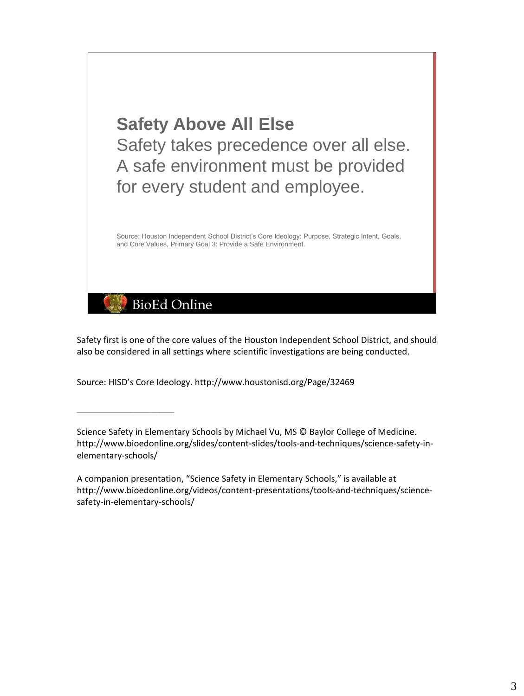

Safety first is one of the core values of the Houston Independent School District, and should also be considered in all settings where scientific investigations are being conducted.

Source: HISD's Core Ideology. http://www.houstonisd.org/Page/32469

\_\_\_\_\_\_\_\_\_\_\_\_\_\_\_\_\_\_\_\_

Science Safety in Elementary Schools by Michael Vu, MS © Baylor College of Medicine. http://www.bioedonline.org/slides/content-slides/tools-and-techniques/science-safety-inelementary-schools/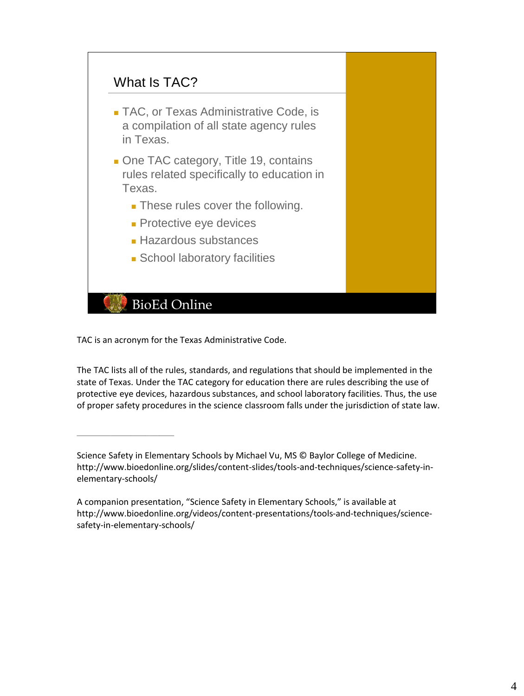

TAC is an acronym for the Texas Administrative Code.

\_\_\_\_\_\_\_\_\_\_\_\_\_\_\_\_\_\_\_\_

The TAC lists all of the rules, standards, and regulations that should be implemented in the state of Texas. Under the TAC category for education there are rules describing the use of protective eye devices, hazardous substances, and school laboratory facilities. Thus, the use of proper safety procedures in the science classroom falls under the jurisdiction of state law.

Science Safety in Elementary Schools by Michael Vu, MS © Baylor College of Medicine. http://www.bioedonline.org/slides/content-slides/tools-and-techniques/science-safety-inelementary-schools/

A companion presentation, "Science Safety in Elementary Schools," is available at http://www.bioedonline.org/videos/content-presentations/tools-and-techniques/sciencesafety-in-elementary-schools/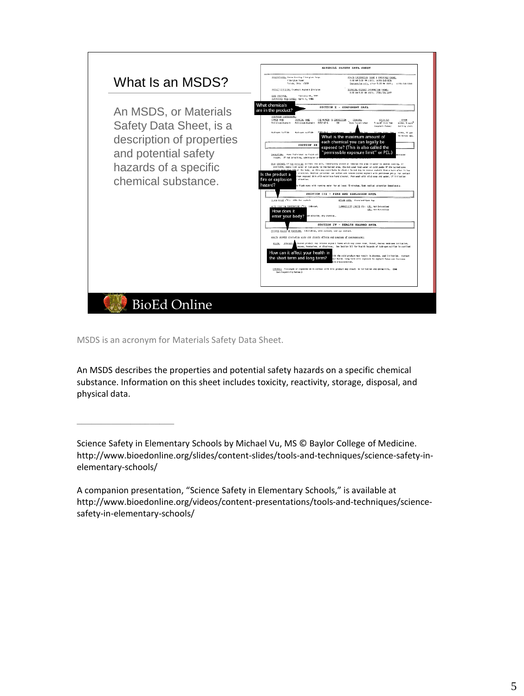

MSDS is an acronym for Materials Safety Data Sheet.

\_\_\_\_\_\_\_\_\_\_\_\_\_\_\_\_\_\_\_\_

An MSDS describes the properties and potential safety hazards on a specific chemical substance. Information on this sheet includes toxicity, reactivity, storage, disposal, and physical data.

Science Safety in Elementary Schools by Michael Vu, MS © Baylor College of Medicine. http://www.bioedonline.org/slides/content-slides/tools-and-techniques/science-safety-inelementary-schools/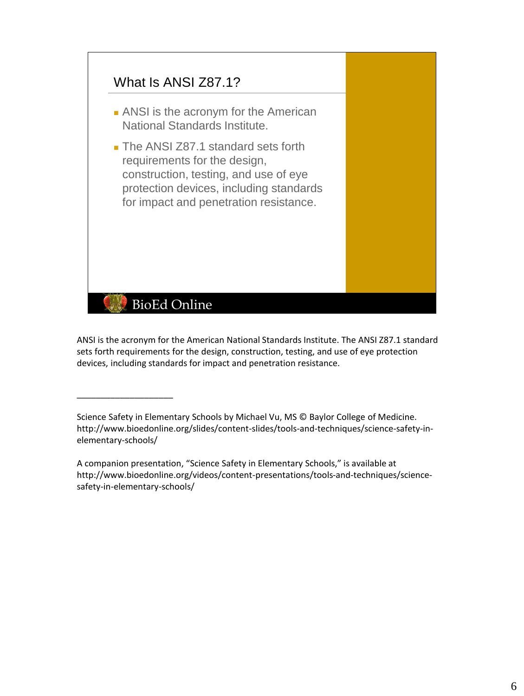

ANSI is the acronym for the American National Standards Institute. The ANSI Z87.1 standard sets forth requirements for the design, construction, testing, and use of eye protection devices, including standards for impact and penetration resistance.

Science Safety in Elementary Schools by Michael Vu, MS © Baylor College of Medicine. http://www.bioedonline.org/slides/content-slides/tools-and-techniques/science-safety-inelementary-schools/

\_\_\_\_\_\_\_\_\_\_\_\_\_\_\_\_\_\_\_\_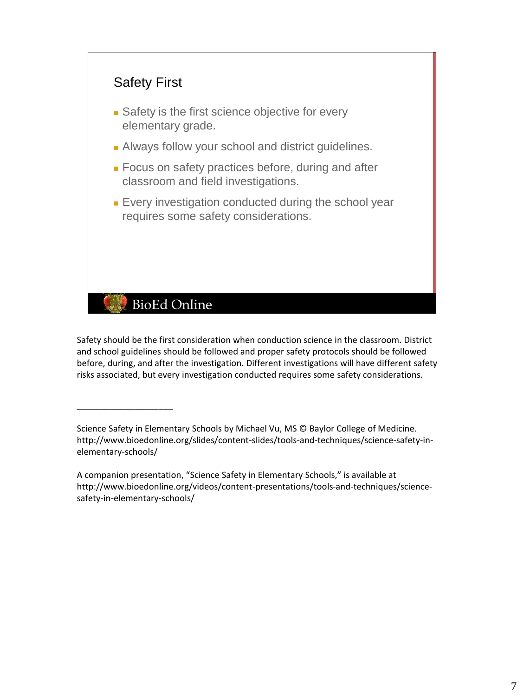

## **BioEd Online**

\_\_\_\_\_\_\_\_\_\_\_\_\_\_\_\_\_\_\_\_

Safety should be the first consideration when conduction science in the classroom. District and school guidelines should be followed and proper safety protocols should be followed before, during, and after the investigation. Different investigations will have different safety risks associated, but every investigation conducted requires some safety considerations.

Science Safety in Elementary Schools by Michael Vu, MS © Baylor College of Medicine. http://www.bioedonline.org/slides/content-slides/tools-and-techniques/science-safety-inelementary-schools/

A companion presentation, "Science Safety in Elementary Schools," is available at http://www.bioedonline.org/videos/content-presentations/tools-and-techniques/sciencesafety-in-elementary-schools/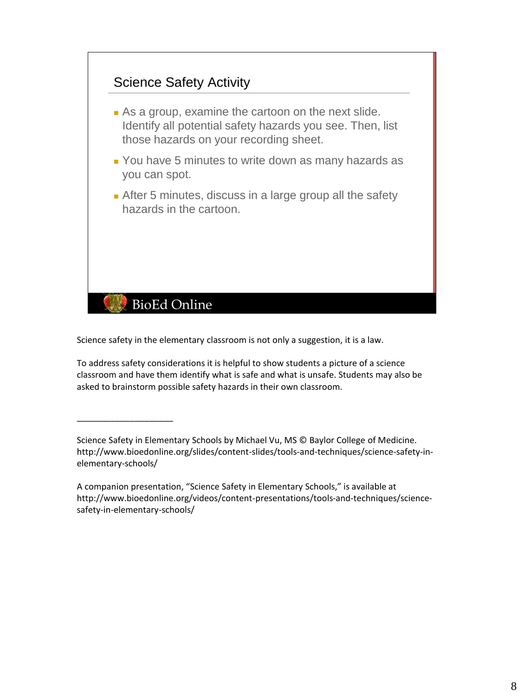

Science safety in the elementary classroom is not only a suggestion, it is a law.

\_\_\_\_\_\_\_\_\_\_\_\_\_\_\_\_\_\_\_\_

To address safety considerations it is helpful to show students a picture of a science classroom and have them identify what is safe and what is unsafe. Students may also be asked to brainstorm possible safety hazards in their own classroom.

Science Safety in Elementary Schools by Michael Vu, MS © Baylor College of Medicine. http://www.bioedonline.org/slides/content-slides/tools-and-techniques/science-safety-inelementary-schools/

A companion presentation, "Science Safety in Elementary Schools," is available at http://www.bioedonline.org/videos/content-presentations/tools-and-techniques/sciencesafety-in-elementary-schools/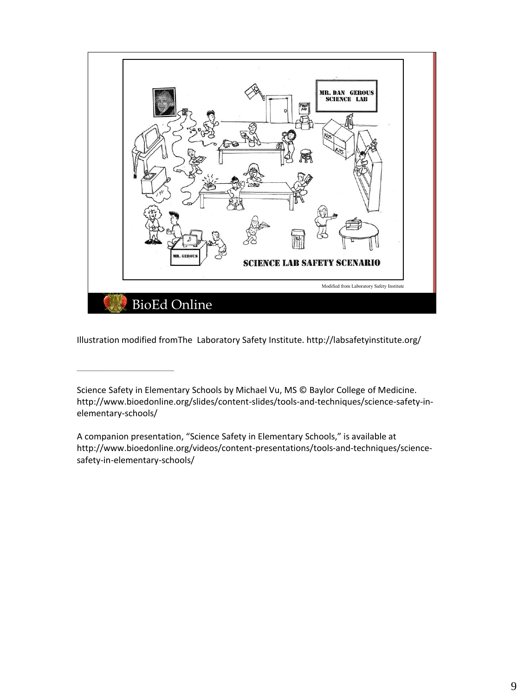

Illustration modified fromThe Laboratory Safety Institute. http://labsafetyinstitute.org/

Science Safety in Elementary Schools by Michael Vu, MS © Baylor College of Medicine. http://www.bioedonline.org/slides/content-slides/tools-and-techniques/science-safety-inelementary-schools/

A companion presentation, "Science Safety in Elementary Schools," is available at http://www.bioedonline.org/videos/content-presentations/tools-and-techniques/sciencesafety-in-elementary-schools/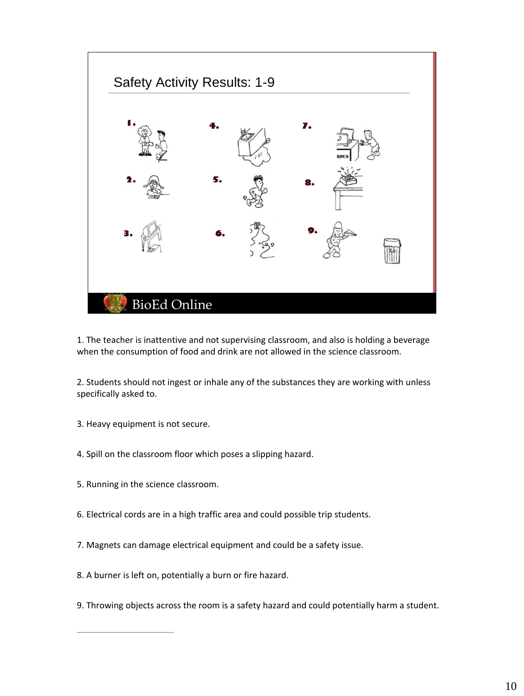

1. The teacher is inattentive and not supervising classroom, and also is holding a beverage when the consumption of food and drink are not allowed in the science classroom.

2. Students should not ingest or inhale any of the substances they are working with unless specifically asked to.

- 3. Heavy equipment is not secure.
- 4. Spill on the classroom floor which poses a slipping hazard.
- 5. Running in the science classroom.

- 6. Electrical cords are in a high traffic area and could possible trip students.
- 7. Magnets can damage electrical equipment and could be a safety issue.
- 8. A burner is left on, potentially a burn or fire hazard.
- 9. Throwing objects across the room is a safety hazard and could potentially harm a student.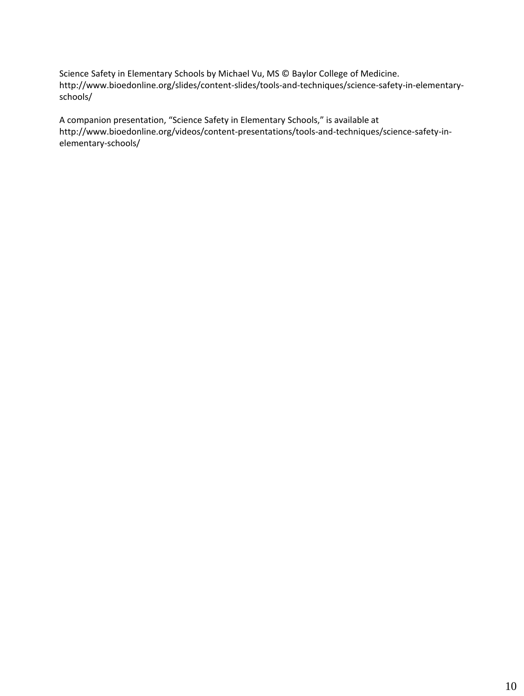Science Safety in Elementary Schools by Michael Vu, MS © Baylor College of Medicine. http://www.bioedonline.org/slides/content-slides/tools-and-techniques/science-safety-in-elementaryschools/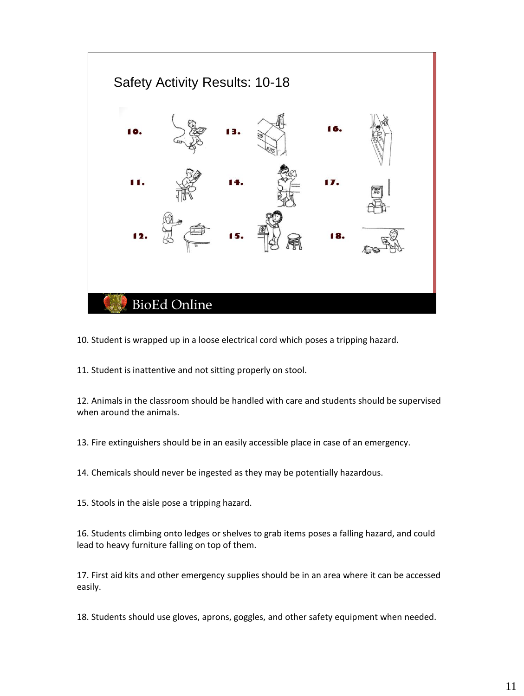

10. Student is wrapped up in a loose electrical cord which poses a tripping hazard.

11. Student is inattentive and not sitting properly on stool.

12. Animals in the classroom should be handled with care and students should be supervised when around the animals.

13. Fire extinguishers should be in an easily accessible place in case of an emergency.

14. Chemicals should never be ingested as they may be potentially hazardous.

15. Stools in the aisle pose a tripping hazard.

16. Students climbing onto ledges or shelves to grab items poses a falling hazard, and could lead to heavy furniture falling on top of them.

17. First aid kits and other emergency supplies should be in an area where it can be accessed easily.

18. Students should use gloves, aprons, goggles, and other safety equipment when needed.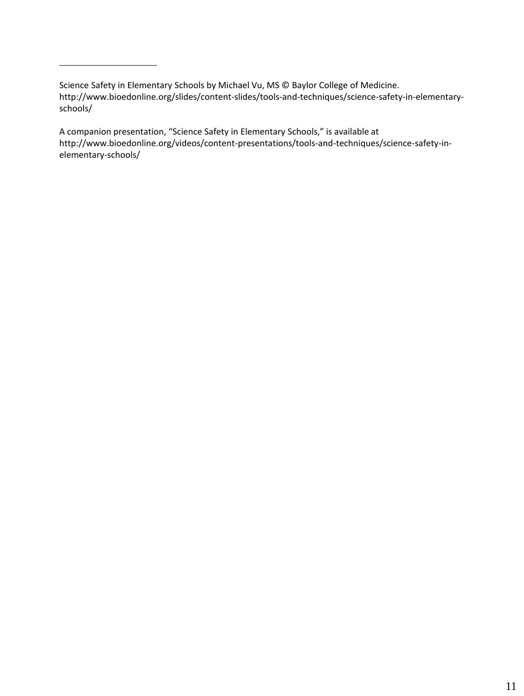Science Safety in Elementary Schools by Michael Vu, MS © Baylor College of Medicine. http://www.bioedonline.org/slides/content-slides/tools-and-techniques/science-safety-in-elementaryschools/

\_\_\_\_\_\_\_\_\_\_\_\_\_\_\_\_\_\_\_\_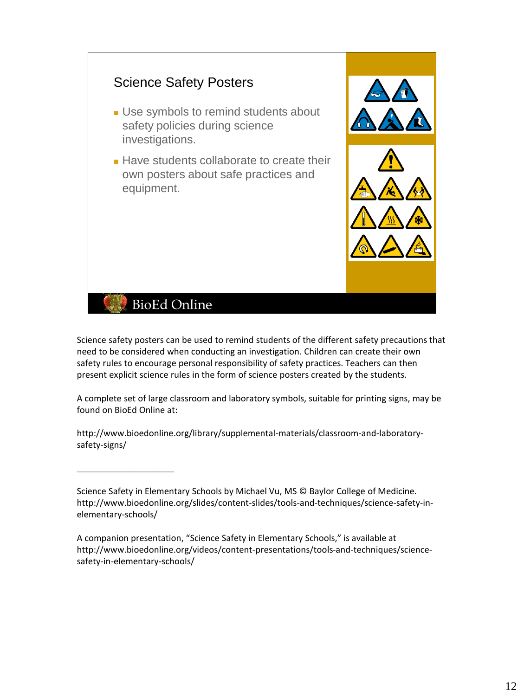

Science safety posters can be used to remind students of the different safety precautions that need to be considered when conducting an investigation. Children can create their own safety rules to encourage personal responsibility of safety practices. Teachers can then present explicit science rules in the form of science posters created by the students.

A complete set of large classroom and laboratory symbols, suitable for printing signs, may be found on BioEd Online at:

http://www.bioedonline.org/library/supplemental-materials/classroom-and-laboratorysafety-signs/

Science Safety in Elementary Schools by Michael Vu, MS © Baylor College of Medicine. http://www.bioedonline.org/slides/content-slides/tools-and-techniques/science-safety-inelementary-schools/

A companion presentation, "Science Safety in Elementary Schools," is available at http://www.bioedonline.org/videos/content-presentations/tools-and-techniques/sciencesafety-in-elementary-schools/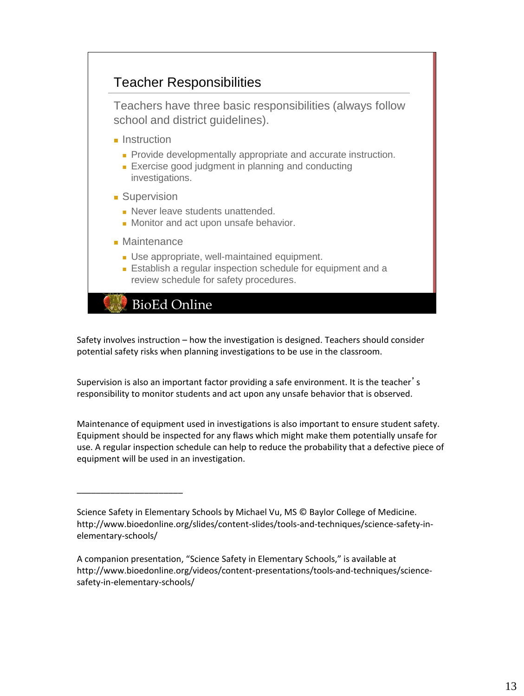### Teacher Responsibilities

Teachers have three basic responsibilities (always follow school and district guidelines).

- Instruction
	- Provide developmentally appropriate and accurate instruction.
	- Exercise good judgment in planning and conducting investigations.
- Supervision
	- Never leave students unattended.
	- Monitor and act upon unsafe behavior.
- Maintenance

\_\_\_\_\_\_\_\_\_\_\_\_\_\_\_\_\_\_\_\_\_\_

- Use appropriate, well-maintained equipment.
- Establish a regular inspection schedule for equipment and a review schedule for safety procedures.

**BioEd Online** 

Safety involves instruction – how the investigation is designed. Teachers should consider potential safety risks when planning investigations to be use in the classroom.

Supervision is also an important factor providing a safe environment. It is the teacher's responsibility to monitor students and act upon any unsafe behavior that is observed.

Maintenance of equipment used in investigations is also important to ensure student safety. Equipment should be inspected for any flaws which might make them potentially unsafe for use. A regular inspection schedule can help to reduce the probability that a defective piece of equipment will be used in an investigation.

Science Safety in Elementary Schools by Michael Vu, MS © Baylor College of Medicine. http://www.bioedonline.org/slides/content-slides/tools-and-techniques/science-safety-inelementary-schools/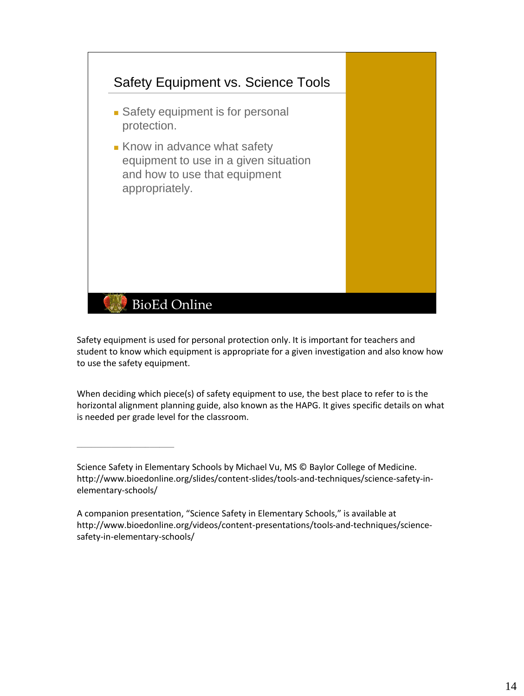

Safety equipment is used for personal protection only. It is important for teachers and student to know which equipment is appropriate for a given investigation and also know how to use the safety equipment.

When deciding which piece(s) of safety equipment to use, the best place to refer to is the horizontal alignment planning guide, also known as the HAPG. It gives specific details on what is needed per grade level for the classroom.

Science Safety in Elementary Schools by Michael Vu, MS © Baylor College of Medicine. http://www.bioedonline.org/slides/content-slides/tools-and-techniques/science-safety-inelementary-schools/

A companion presentation, "Science Safety in Elementary Schools," is available at http://www.bioedonline.org/videos/content-presentations/tools-and-techniques/sciencesafety-in-elementary-schools/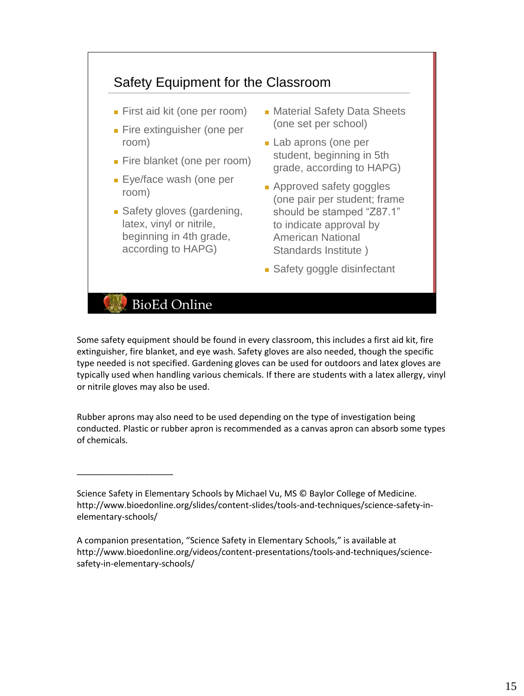

Some safety equipment should be found in every classroom, this includes a first aid kit, fire extinguisher, fire blanket, and eye wash. Safety gloves are also needed, though the specific type needed is not specified. Gardening gloves can be used for outdoors and latex gloves are typically used when handling various chemicals. If there are students with a latex allergy, vinyl or nitrile gloves may also be used.

Rubber aprons may also need to be used depending on the type of investigation being conducted. Plastic or rubber apron is recommended as a canvas apron can absorb some types of chemicals.

Science Safety in Elementary Schools by Michael Vu, MS © Baylor College of Medicine. http://www.bioedonline.org/slides/content-slides/tools-and-techniques/science-safety-inelementary-schools/

A companion presentation, "Science Safety in Elementary Schools," is available at http://www.bioedonline.org/videos/content-presentations/tools-and-techniques/sciencesafety-in-elementary-schools/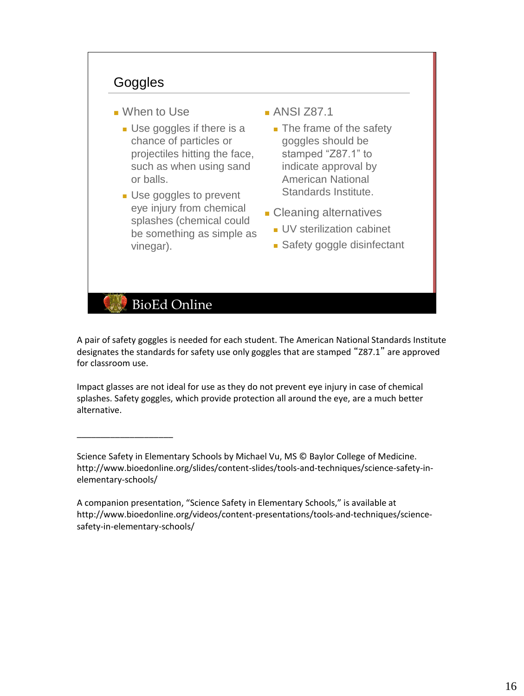#### **Goggles**

- When to Use
	- Use goggles if there is a chance of particles or projectiles hitting the face, such as when using sand or balls.
	- Use goggles to prevent eye injury from chemical splashes (chemical could be something as simple as vinegar).
- ANSI 787.1
	- The frame of the safety goggles should be stamped "Z87.1" to indicate approval by American National Standards Institute.
- Cleaning alternatives
	- UV sterilization cabinet
	- Safety goggle disinfectant

# **BioEd Online**

\_\_\_\_\_\_\_\_\_\_\_\_\_\_\_\_\_\_\_\_

A pair of safety goggles is needed for each student. The American National Standards Institute designates the standards for safety use only goggles that are stamped "Z87.1" are approved for classroom use.

Impact glasses are not ideal for use as they do not prevent eye injury in case of chemical splashes. Safety goggles, which provide protection all around the eye, are a much better alternative.

Science Safety in Elementary Schools by Michael Vu, MS © Baylor College of Medicine. http://www.bioedonline.org/slides/content-slides/tools-and-techniques/science-safety-inelementary-schools/

A companion presentation, "Science Safety in Elementary Schools," is available at http://www.bioedonline.org/videos/content-presentations/tools-and-techniques/sciencesafety-in-elementary-schools/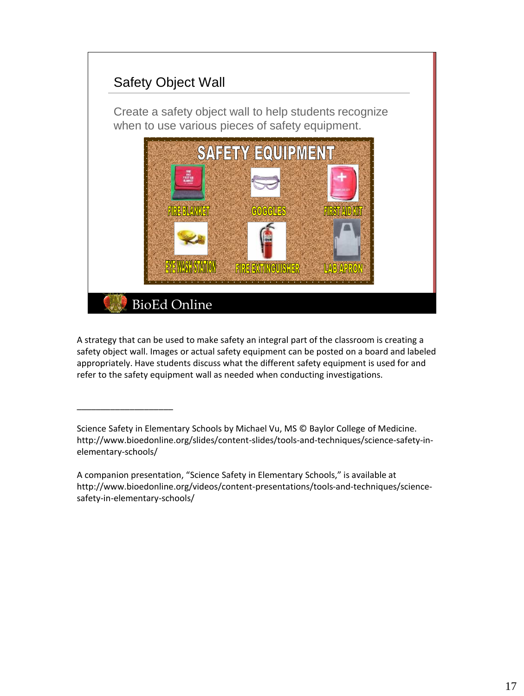

A strategy that can be used to make safety an integral part of the classroom is creating a safety object wall. Images or actual safety equipment can be posted on a board and labeled appropriately. Have students discuss what the different safety equipment is used for and refer to the safety equipment wall as needed when conducting investigations.

Science Safety in Elementary Schools by Michael Vu, MS © Baylor College of Medicine. http://www.bioedonline.org/slides/content-slides/tools-and-techniques/science-safety-inelementary-schools/

A companion presentation, "Science Safety in Elementary Schools," is available at http://www.bioedonline.org/videos/content-presentations/tools-and-techniques/sciencesafety-in-elementary-schools/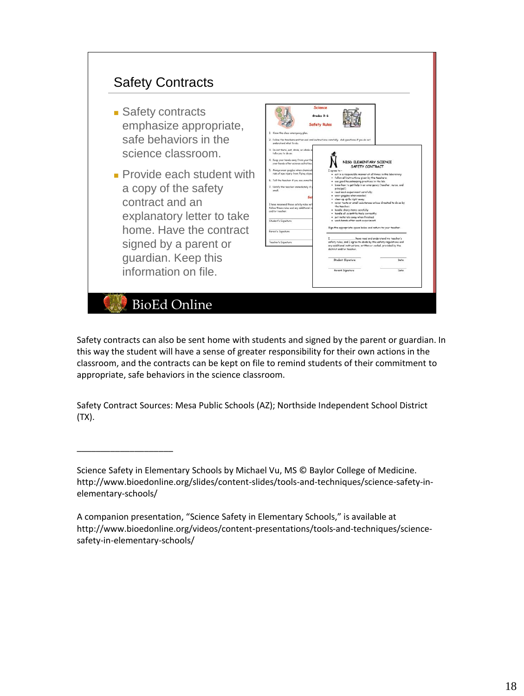

Safety contracts can also be sent home with students and signed by the parent or guardian. In this way the student will have a sense of greater responsibility for their own actions in the classroom, and the contracts can be kept on file to remind students of their commitment to appropriate, safe behaviors in the science classroom.

Safety Contract Sources: Mesa Public Schools (AZ); Northside Independent School District (TX).

Science Safety in Elementary Schools by Michael Vu, MS © Baylor College of Medicine. http://www.bioedonline.org/slides/content-slides/tools-and-techniques/science-safety-inelementary-schools/

A companion presentation, "Science Safety in Elementary Schools," is available at http://www.bioedonline.org/videos/content-presentations/tools-and-techniques/sciencesafety-in-elementary-schools/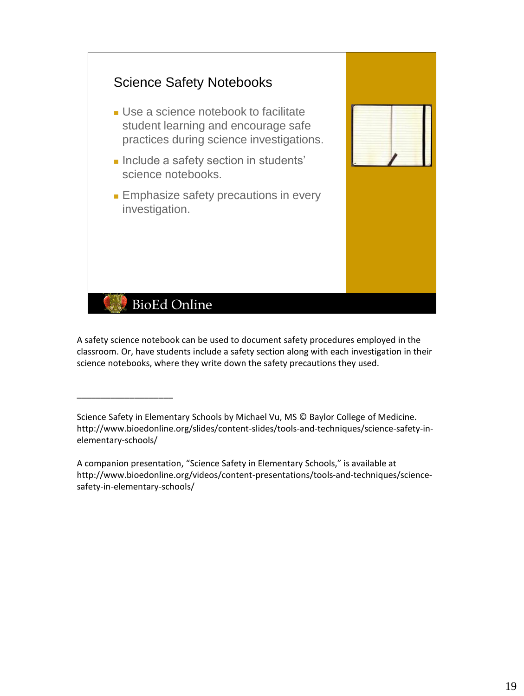

A safety science notebook can be used to document safety procedures employed in the classroom. Or, have students include a safety section along with each investigation in their science notebooks, where they write down the safety precautions they used.

Science Safety in Elementary Schools by Michael Vu, MS © Baylor College of Medicine. http://www.bioedonline.org/slides/content-slides/tools-and-techniques/science-safety-inelementary-schools/

\_\_\_\_\_\_\_\_\_\_\_\_\_\_\_\_\_\_\_\_